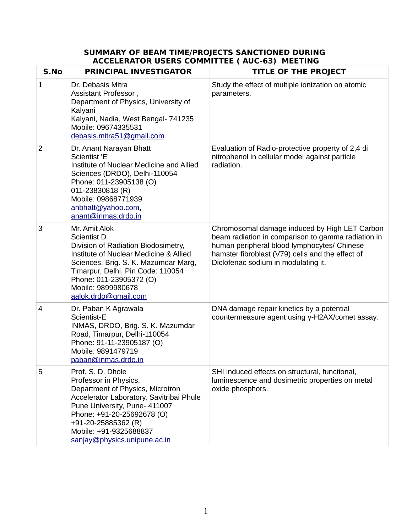## **SUMMARY OF BEAM TIME/PROJECTS SANCTIONED DURING ACCELERATOR USERS COMMITTEE ( AUC-63) MEETING**

| S.No           | <b>PRINCIPAL INVESTIGATOR</b>                                                                                                                                                                                                                                              | <b>TITLE OF THE PROJECT</b>                                                                                                                                                                                                                   |
|----------------|----------------------------------------------------------------------------------------------------------------------------------------------------------------------------------------------------------------------------------------------------------------------------|-----------------------------------------------------------------------------------------------------------------------------------------------------------------------------------------------------------------------------------------------|
| $\mathbf{1}$   | Dr. Debasis Mitra<br>Assistant Professor,<br>Department of Physics, University of<br>Kalyani<br>Kalyani, Nadia, West Bengal- 741235<br>Mobile: 09674335531<br>debasis.mitra51@gmail.com                                                                                    | Study the effect of multiple ionization on atomic<br>parameters.                                                                                                                                                                              |
| $\overline{2}$ | Dr. Anant Narayan Bhatt<br>Scientist 'E'<br>Institute of Nuclear Medicine and Allied<br>Sciences (DRDO), Delhi-110054<br>Phone: 011-23905138 (O)<br>011-23830818 (R)<br>Mobile: 09868771939<br>anbhatt@yahoo.com,<br>anant@inmas.drdo.in                                   | Evaluation of Radio-protective property of 2,4 di<br>nitrophenol in cellular model against particle<br>radiation.                                                                                                                             |
| 3              | Mr. Amit Alok<br>Scientist D<br>Division of Radiation Biodosimetry,<br>Institute of Nuclear Medicine & Allied<br>Sciences, Brig. S. K. Mazumdar Marg,<br>Timarpur, Delhi, Pin Code: 110054<br>Phone: 011-23905372 (O)<br>Mobile: 9899980678<br>aalok.drdo@gmail.com        | Chromosomal damage induced by High LET Carbon<br>beam radiation in comparison to gamma radiation in<br>human peripheral blood lymphocytes/ Chinese<br>hamster fibroblast (V79) cells and the effect of<br>Diclofenac sodium in modulating it. |
| 4              | Dr. Paban K Agrawala<br>Scientist-E<br>INMAS, DRDO, Brig. S. K. Mazumdar<br>Road, Timarpur, Delhi-110054<br>Phone: 91-11-23905187 (O)<br>Mobile: 9891479719<br>paban@inmas.drdo.in                                                                                         | DNA damage repair kinetics by a potential<br>countermeasure agent using y-H2AX/comet assay.                                                                                                                                                   |
| 5              | Prof. S. D. Dhole<br>Professor in Physics,<br>Department of Physics, Microtron<br>Accelerator Laboratory, Savitribai Phule<br>Pune University, Pune- 411007<br>Phone: +91-20-25692678 (O)<br>+91-20-25885362 (R)<br>Mobile: +91-9325688837<br>sanjay@physics.unipune.ac.in | SHI induced effects on structural, functional,<br>luminescence and dosimetric properties on metal<br>oxide phosphors.                                                                                                                         |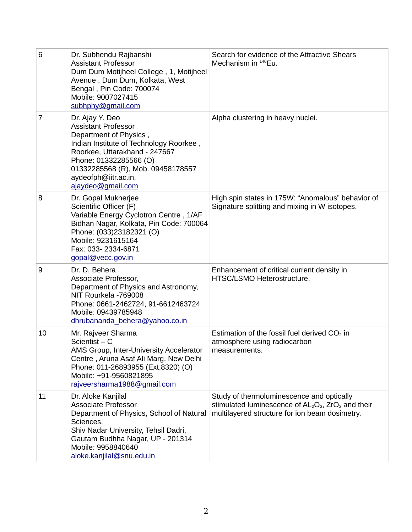| 6  | Dr. Subhendu Rajbanshi<br><b>Assistant Professor</b><br>Dum Dum Motijheel College, 1, Motijheel<br>Avenue, Dum Dum, Kolkata, West<br>Bengal, Pin Code: 700074<br>Mobile: 9007027415<br>subhphy@gmail.com                                                        | Search for evidence of the Attractive Shears<br>Mechanism in $^{146}$ Eu.                                                                               |
|----|-----------------------------------------------------------------------------------------------------------------------------------------------------------------------------------------------------------------------------------------------------------------|---------------------------------------------------------------------------------------------------------------------------------------------------------|
| 7  | Dr. Ajay Y. Deo<br><b>Assistant Professor</b><br>Department of Physics,<br>Indian Institute of Technology Roorkee,<br>Roorkee, Uttarakhand - 247667<br>Phone: 01332285566 (O)<br>01332285568 (R), Mob. 09458178557<br>aydeofph@iitr.ac.in,<br>ajaydeo@gmail.com | Alpha clustering in heavy nuclei.                                                                                                                       |
| 8  | Dr. Gopal Mukherjee<br>Scientific Officer (F)<br>Variable Energy Cyclotron Centre, 1/AF<br>Bidhan Nagar, Kolkata, Pin Code: 700064<br>Phone: (033)23182321 (O)<br>Mobile: 9231615164<br>Fax: 033-2334-6871<br>gopal@vecc.gov.in                                 | High spin states in 175W: "Anomalous" behavior of<br>Signature splitting and mixing in W isotopes.                                                      |
| 9  | Dr. D. Behera<br>Associate Professor,<br>Department of Physics and Astronomy,<br>NIT Rourkela -769008<br>Phone: 0661-2462724, 91-6612463724<br>Mobile: 09439785948<br>dhrubananda behera@yahoo.co.in                                                            | Enhancement of critical current density in<br>HTSC/LSMO Heterostructure.                                                                                |
| 10 | Mr. Rajveer Sharma<br>Scientist $- C$<br>AMS Group, Inter-University Accelerator<br>Centre, Aruna Asaf Ali Marg, New Delhi<br>Phone: 011-26893955 (Ext.8320) (O)<br>Mobile: +91-9560821895<br>rajveersharma1988@gmail.com                                       | Estimation of the fossil fuel derived $CO2$ in<br>atmosphere using radiocarbon<br>measurements.                                                         |
| 11 | Dr. Aloke Kanjilal<br><b>Associate Professor</b><br>Department of Physics, School of Natural<br>Sciences,<br>Shiv Nadar University, Tehsil Dadri,<br>Gautam Budhha Nagar, UP - 201314<br>Mobile: 9958840640<br>aloke.kanjilal@snu.edu.in                        | Study of thermoluminescence and optically<br>stimulated luminescence of $AL_2O_3$ , $ZrO_2$ and their<br>multilayered structure for ion beam dosimetry. |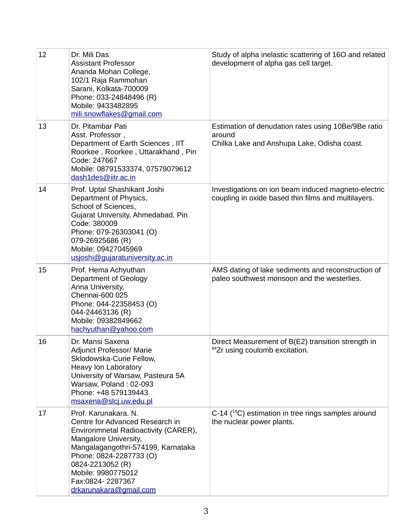| 12 | Dr. Mili Das<br><b>Assistant Professor</b><br>Ananda Mohan College,<br>102/1 Raja Rammohan<br>Sarani, Kolkata-700009<br>Phone: 033-24848496 (R)<br>Mobile: 9433482895<br>mili.snowflakes@gmail.com                                                                                | Study of alpha inelastic scattering of 16O and related<br>development of alpha gas cell target.              |
|----|-----------------------------------------------------------------------------------------------------------------------------------------------------------------------------------------------------------------------------------------------------------------------------------|--------------------------------------------------------------------------------------------------------------|
| 13 | Dr. Pitambar Pati<br>Asst. Professor,<br>Department of Earth Sciences, IIT<br>Roorkee, Roorkee, Uttarakhand, Pin<br>Code: 247667<br>Mobile: 08791533374, 07579079612<br>dash1des@iitr.ac.in                                                                                       | Estimation of denudation rates using 10Be/9Be ratio<br>around<br>Chilka Lake and Anshupa Lake, Odisha coast. |
| 14 | Prof. Uptal Shashikant Joshi<br>Department of Physics,<br>School of Sciences,<br>Gujarat University, Ahmedabad, Pin<br>Code: 380009<br>Phone: 079-26303041 (O)<br>079-26925686 (R)<br>Mobile: 09427045969<br>usjoshi@gujaratuniversity.ac.in                                      | Investigations on ion beam induced magneto-electric<br>coupling in oxide based thin films and multilayers.   |
| 15 | Prof. Hema Achyuthan<br>Department of Geology<br>Anna University,<br>Chennai-600 025<br>Phone: 044-22358453 (O)<br>044-24463136 (R)<br>Mobile: 09382849662<br>hachyuthan@yahoo.com                                                                                                | AMS dating of lake sediments and reconstruction of<br>paleo southwest monsoon and the westerlies.            |
| 16 | Dr. Mansi Saxena<br><b>Adjunct Professor/ Marie</b><br>Sklodowska-Curie Fellow,<br>Heavy Ion Laboratory<br>University of Warsaw, Pasteura 5A<br>Warsaw, Poland: 02-093<br>Phone: +48 579139443<br>msaxena@slcj.uw.edu.pl                                                          | Direct Measurement of B(E2) transition strength in<br><sup>94</sup> Zr using coulomb excitation.             |
| 17 | Prof. Karunakara. N.<br>Centre for Advanced Research in<br>Environmnetal Radioactivity (CARER),<br>Mangalore University,<br>Mangalagangothri-574199, Karnataka<br>Phone: 0824-2287733 (O)<br>0824-2213052 (R)<br>Mobile: 9980775012<br>Fax:0824-2287367<br>drkarunakara@gmail.com | C-14 $(^{14}C)$ estimation in tree rings samples around<br>the nuclear power plants.                         |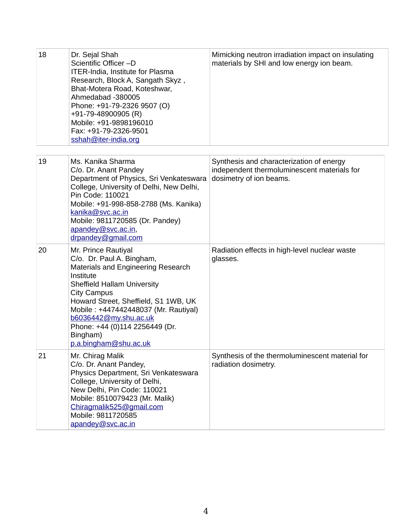| 18 | Dr. Sejal Shah<br>Scientific Officer-D<br><b>ITER-India, Institute for Plasma</b><br>Research, Block A, Sangath Skyz,<br>Bhat-Motera Road, Koteshwar,<br>Ahmedabad -380005<br>Phone: +91-79-2326 9507 (O)<br>+91-79-48900905 (R)<br>Mobile: +91-9898196010<br>Fax: +91-79-2326-9501<br>sshah@iter-india.org                              | Mimicking neutron irradiation impact on insulating<br>materials by SHI and low energy ion beam.                    |
|----|------------------------------------------------------------------------------------------------------------------------------------------------------------------------------------------------------------------------------------------------------------------------------------------------------------------------------------------|--------------------------------------------------------------------------------------------------------------------|
| 19 | Ms. Kanika Sharma<br>C/o. Dr. Anant Pandey<br>Department of Physics, Sri Venkateswara<br>College, University of Delhi, New Delhi,<br>Pin Code: 110021<br>Mobile: +91-998-858-2788 (Ms. Kanika)<br>kanika@svc.ac.in<br>Mobile: 9811720585 (Dr. Pandey)<br>apandey@svc.ac.in,<br>drpandey@gmail.com                                        | Synthesis and characterization of energy<br>independent thermoluminescent materials for<br>dosimetry of ion beams. |
| 20 | Mr. Prince Rautiyal<br>C/o. Dr. Paul A. Bingham,<br>Materials and Engineering Research<br>Institute<br>Sheffield Hallam University<br><b>City Campus</b><br>Howard Street, Sheffield, S1 1WB, UK<br>Mobile: +447442448037 (Mr. Rautiyal)<br>b6036442@my.shu.ac.uk<br>Phone: +44 (0)114 2256449 (Dr.<br>Bingham)<br>p.a.bingham@shu.ac.uk | Radiation effects in high-level nuclear waste<br>glasses.                                                          |
| 21 | Mr. Chirag Malik<br>C/o. Dr. Anant Pandey,<br>Physics Department, Sri Venkateswara<br>College, University of Delhi,<br>New Delhi, Pin Code: 110021<br>Mobile: 8510079423 (Mr. Malik)<br>Chiragmalik525@gmail.com<br>Mobile: 9811720585<br>apandey@svc.ac.in                                                                              | Synthesis of the thermoluminescent material for<br>radiation dosimetry.                                            |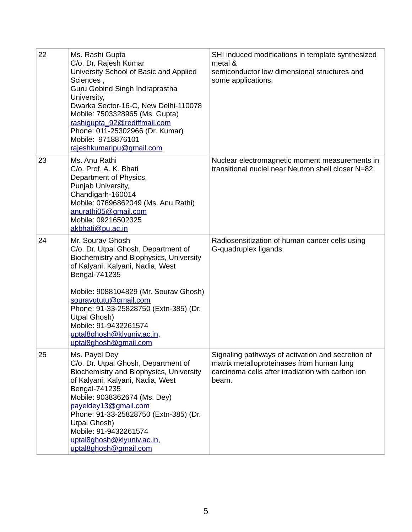| 22 | Ms. Rashi Gupta<br>C/o. Dr. Rajesh Kumar<br>University School of Basic and Applied<br>Sciences,<br>Guru Gobind Singh Indraprastha<br>University,<br>Dwarka Sector-16-C, New Delhi-110078<br>Mobile: 7503328965 (Ms. Gupta)<br>rashiqupta 92@rediffmail.com<br>Phone: 011-25302966 (Dr. Kumar)<br>Mobile: 9718876101<br>rajeshkumaripu@gmail.com                           | SHI induced modifications in template synthesized<br>metal &<br>semiconductor low dimensional structures and<br>some applications.                           |
|----|---------------------------------------------------------------------------------------------------------------------------------------------------------------------------------------------------------------------------------------------------------------------------------------------------------------------------------------------------------------------------|--------------------------------------------------------------------------------------------------------------------------------------------------------------|
| 23 | Ms. Anu Rathi<br>C/o. Prof. A. K. Bhati<br>Department of Physics,<br>Punjab University,<br>Chandigarh-160014<br>Mobile: 07696862049 (Ms. Anu Rathi)<br>anurathi05@gmail.com<br>Mobile: 09216502325<br>akbhati@pu.ac.in                                                                                                                                                    | Nuclear electromagnetic moment measurements in<br>transitional nuclei near Neutron shell closer N=82.                                                        |
| 24 | Mr. Sourav Ghosh<br>C/o. Dr. Utpal Ghosh, Department of<br>Biochemistry and Biophysics, University<br>of Kalyani, Kalyani, Nadia, West<br>Bengal-741235<br>Mobile: 9088104829 (Mr. Sourav Ghosh)<br>souravgtutu@gmail.com<br>Phone: 91-33-25828750 (Extn-385) (Dr.<br><b>Utpal Ghosh)</b><br>Mobile: 91-9432261574<br>uptal8ghosh@klyuniv.ac.in,<br>uptal8ghosh@gmail.com | Radiosensitization of human cancer cells using<br>G-quadruplex ligands.                                                                                      |
| 25 | Ms. Payel Dey<br>C/o. Dr. Utpal Ghosh, Department of<br>Biochemistry and Biophysics, University<br>of Kalyani, Kalyani, Nadia, West<br>Bengal-741235<br>Mobile: 9038362674 (Ms. Dey)<br>payeldey13@gmail.com<br>Phone: 91-33-25828750 (Extn-385) (Dr.<br><b>Utpal Ghosh)</b><br>Mobile: 91-9432261574<br>uptal8ghosh@klyuniv.ac.in,<br>uptal8ghosh@gmail.com              | Signaling pathways of activation and secretion of<br>matrix metalloproteinases from human lung<br>carcinoma cells after irradiation with carbon ion<br>beam. |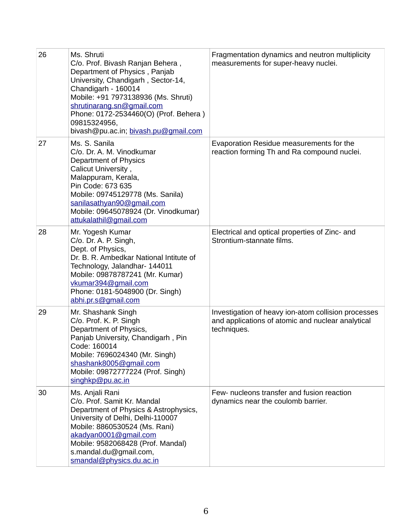| 26 | Ms. Shruti<br>C/o. Prof. Bivash Ranjan Behera,<br>Department of Physics, Panjab<br>University, Chandigarh, Sector-14,<br>Chandigarh - 160014<br>Mobile: +91 7973138936 (Ms. Shruti)<br>shrutinarang.sn@gmail.com<br>Phone: 0172-2534460(O) (Prof. Behera)<br>09815324956,<br>bivash@pu.ac.in; bivash.pu@gmail.com | Fragmentation dynamics and neutron multiplicity<br>measurements for super-heavy nuclei.                                 |
|----|-------------------------------------------------------------------------------------------------------------------------------------------------------------------------------------------------------------------------------------------------------------------------------------------------------------------|-------------------------------------------------------------------------------------------------------------------------|
| 27 | Ms. S. Sanila<br>C/o. Dr. A. M. Vinodkumar<br>Department of Physics<br>Calicut University,<br>Malappuram, Kerala,<br>Pin Code: 673 635<br>Mobile: 09745129778 (Ms. Sanila)<br>sanilasathyan90@gmail.com<br>Mobile: 09645078924 (Dr. Vinodkumar)<br>attukalathil@gmail.com                                         | Evaporation Residue measurements for the<br>reaction forming Th and Ra compound nuclei.                                 |
| 28 | Mr. Yogesh Kumar<br>C/o. Dr. A. P. Singh,<br>Dept. of Physics,<br>Dr. B. R. Ambedkar National Intitute of<br>Technology, Jalandhar- 144011<br>Mobile: 09878787241 (Mr. Kumar)<br>vkumar394@gmail.com<br>Phone: 0181-5048900 (Dr. Singh)<br>abhi.pr.s@gmail.com                                                    | Electrical and optical properties of Zinc- and<br>Strontium-stannate films.                                             |
| 29 | Mr. Shashank Singh<br>C/o. Prof. K. P. Singh<br>Department of Physics,<br>Panjab University, Chandigarh, Pin<br>Code: 160014<br>Mobile: 7696024340 (Mr. Singh)<br>shashank8005@gmail.com<br>Mobile: 09872777224 (Prof. Singh)<br>singhkp@pu.ac.in                                                                 | Investigation of heavy ion-atom collision processes<br>and applications of atomic and nuclear analytical<br>techniques. |
| 30 | Ms. Anjali Rani<br>C/o. Prof. Samit Kr. Mandal<br>Department of Physics & Astrophysics,<br>University of Delhi, Delhi-110007<br>Mobile: 8860530524 (Ms. Rani)<br>akadyan0001@gmail.com<br>Mobile: 9582068428 (Prof. Mandal)<br>s.mandal.du@gmail.com,<br>smandal@physics.du.ac.in                                 | Few- nucleons transfer and fusion reaction<br>dynamics near the coulomb barrier.                                        |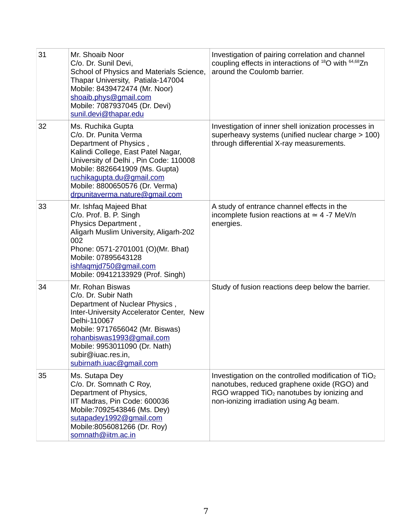| 31 | Mr. Shoaib Noor<br>C/o. Dr. Sunil Devi,<br>School of Physics and Materials Science,<br>Thapar University, Patiala-147004<br>Mobile: 8439472474 (Mr. Noor)<br>shoaib.phys@gmail.com<br>Mobile: 7087937045 (Dr. Devi)<br>sunil.devi@thapar.edu                                             | Investigation of pairing correlation and channel<br>coupling effects in interactions of $^{18}$ O with $^{64,68}$ Zn<br>around the Coulomb barrier.                                                        |
|----|------------------------------------------------------------------------------------------------------------------------------------------------------------------------------------------------------------------------------------------------------------------------------------------|------------------------------------------------------------------------------------------------------------------------------------------------------------------------------------------------------------|
| 32 | Ms. Ruchika Gupta<br>C/o. Dr. Punita Verma<br>Department of Physics,<br>Kalindi College, East Patel Nagar,<br>University of Delhi, Pin Code: 110008<br>Mobile: 8826641909 (Ms. Gupta)<br>ruchikagupta.du@gmail.com<br>Mobile: 8800650576 (Dr. Verma)<br>drpunitaverma.nature@gmail.com   | Investigation of inner shell ionization processes in<br>superheavy systems (unified nuclear charge > 100)<br>through differential X-ray measurements.                                                      |
| 33 | Mr. Ishfaq Majeed Bhat<br>C/o. Prof. B. P. Singh<br>Physics Department,<br>Aligarh Muslim University, Aligarh-202<br>002<br>Phone: 0571-2701001 (O)(Mr. Bhat)<br>Mobile: 07895643128<br>ishfaqmjd750@gmail.com<br>Mobile: 09412133929 (Prof. Singh)                                      | A study of entrance channel effects in the<br>incomplete fusion reactions at $\simeq$ 4 -7 MeV/n<br>energies.                                                                                              |
| 34 | Mr. Rohan Biswas<br>C/o. Dr. Subir Nath<br>Department of Nuclear Physics,<br>Inter-University Accelerator Center, New<br>Delhi-110067<br>Mobile: 9717656042 (Mr. Biswas)<br>rohanbiswas1993@gmail.com<br>Mobile: 9953011090 (Dr. Nath)<br>subir@iuac.res.in,<br>subirnath.iuac@gmail.com | Study of fusion reactions deep below the barrier.                                                                                                                                                          |
| 35 | Ms. Sutapa Dey<br>C/o. Dr. Somnath C Roy,<br>Department of Physics,<br>IIT Madras, Pin Code: 600036<br>Mobile: 7092543846 (Ms. Dey)<br>sutapadey1992@gmail.com<br>Mobile:8056081266 (Dr. Roy)<br>somnath@iitm.ac.in                                                                      | Investigation on the controlled modification of $TiO2$<br>nanotubes, reduced graphene oxide (RGO) and<br>RGO wrapped TiO <sub>2</sub> nanotubes by ionizing and<br>non-ionizing irradiation using Ag beam. |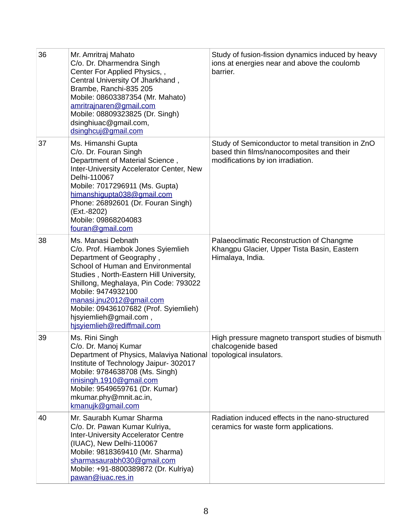| 36 | Mr. Amritraj Mahato<br>C/o. Dr. Dharmendra Singh<br>Center For Applied Physics,,<br>Central University Of Jharkhand,<br>Brambe, Ranchi-835 205<br>Mobile: 08603387354 (Mr. Mahato)<br>amritrajnaren@gmail.com<br>Mobile: 08809323825 (Dr. Singh)<br>dsinghiuac@gmail.com,<br>dsinghcuj@gmail.com                                                                 | Study of fusion-fission dynamics induced by heavy<br>ions at energies near and above the coulomb<br>barrier.                        |
|----|------------------------------------------------------------------------------------------------------------------------------------------------------------------------------------------------------------------------------------------------------------------------------------------------------------------------------------------------------------------|-------------------------------------------------------------------------------------------------------------------------------------|
| 37 | Ms. Himanshi Gupta<br>C/o. Dr. Fouran Singh<br>Department of Material Science,<br>Inter-University Accelerator Center, New<br>Delhi-110067<br>Mobile: 7017296911 (Ms. Gupta)<br>himanshiqupta038@qmail.com<br>Phone: 26892601 (Dr. Fouran Singh)<br>(Ext.-8202)<br>Mobile: 09868204083<br>fouran@gmail.com                                                       | Study of Semiconductor to metal transition in ZnO<br>based thin films/nanocomposites and their<br>modifications by ion irradiation. |
| 38 | Ms. Manasi Debnath<br>C/o. Prof. Hiambok Jones Syiemlieh<br>Department of Geography,<br>School of Human and Environmental<br>Studies, North-Eastern Hill University,<br>Shillong, Meghalaya, Pin Code: 793022<br>Mobile: 9474932100<br>manasi.jnu2012@gmail.com<br>Mobile: 09436107682 (Prof. Syiemlieh)<br>hjsyiemlieh@gmail.com,<br>hisyiemlieh@rediffmail.com | Palaeoclimatic Reconstruction of Changme<br>Khangpu Glacier, Upper Tista Basin, Eastern<br>Himalaya, India.                         |
| 39 | Ms. Rini Singh<br>C/o. Dr. Manoj Kumar<br>Department of Physics, Malaviya National topological insulators.<br>Institute of Technology Jaipur- 302017<br>Mobile: 9784638708 (Ms. Singh)<br>rinisingh.1910@gmail.com<br>Mobile: 9549659761 (Dr. Kumar)<br>mkumar.phy@mnit.ac.in,<br>kmanujk@gmail.com                                                              | High pressure magneto transport studies of bismuth<br>chalcogenide based                                                            |
| 40 | Mr. Saurabh Kumar Sharma<br>C/o. Dr. Pawan Kumar Kulriya,<br><b>Inter-University Accelerator Centre</b><br>(IUAC), New Delhi-110067<br>Mobile: 9818369410 (Mr. Sharma)<br>sharmasaurabh030@gmail.com<br>Mobile: +91-8800389872 (Dr. Kulriya)<br>pawan@iuac.res.in                                                                                                | Radiation induced effects in the nano-structured<br>ceramics for waste form applications.                                           |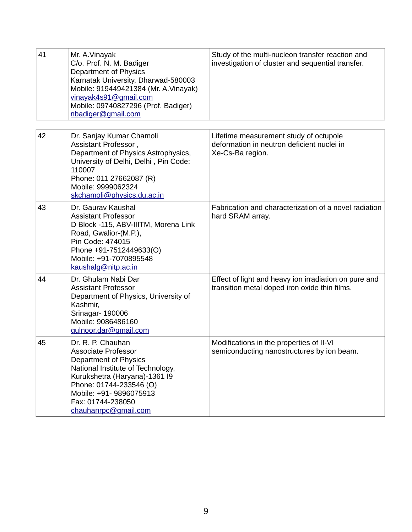| 41 | Mr. A.Vinayak<br>C/o. Prof. N. M. Badiger<br><b>Department of Physics</b><br>Karnatak University, Dharwad-580003<br>Mobile: 919449421384 (Mr. A. Vinayak)<br>vinayak4s91@gmail.com<br>Mobile: 09740827296 (Prof. Badiger)<br>nbadiger@gmail.com   | Study of the multi-nucleon transfer reaction and<br>investigation of cluster and sequential transfer.    |
|----|---------------------------------------------------------------------------------------------------------------------------------------------------------------------------------------------------------------------------------------------------|----------------------------------------------------------------------------------------------------------|
|    |                                                                                                                                                                                                                                                   |                                                                                                          |
| 42 | Dr. Sanjay Kumar Chamoli<br>Assistant Professor,<br>Department of Physics Astrophysics,<br>University of Delhi, Delhi, Pin Code:<br>110007<br>Phone: 011 27662087 (R)<br>Mobile: 9999062324<br>skchamoli@physics.du.ac.in                         | Lifetime measurement study of octupole<br>deformation in neutron deficient nuclei in<br>Xe-Cs-Ba region. |
| 43 | Dr. Gauray Kaushal<br><b>Assistant Professor</b><br>D Block -115, ABV-IIITM, Morena Link<br>Road, Gwalior-(M.P.),<br>Pin Code: 474015<br>Phone +91-7512449633(O)<br>Mobile: +91-7070895548<br>kaushalg@nitp.ac.in                                 | Fabrication and characterization of a novel radiation<br>hard SRAM array.                                |
| 44 | Dr. Ghulam Nabi Dar<br><b>Assistant Professor</b><br>Department of Physics, University of<br>Kashmir,<br>Srinagar-190006<br>Mobile: 9086486160<br>gulnoor.dar@gmail.com                                                                           | Effect of light and heavy ion irradiation on pure and<br>transition metal doped iron oxide thin films.   |
| 45 | Dr. R. P. Chauhan<br><b>Associate Professor</b><br>Department of Physics<br>National Institute of Technology,<br>Kurukshetra (Haryana)-1361 I9<br>Phone: 01744-233546 (O)<br>Mobile: +91- 9896075913<br>Fax: 01744-238050<br>chauhanrpc@gmail.com | Modifications in the properties of II-VI<br>semiconducting nanostructures by ion beam.                   |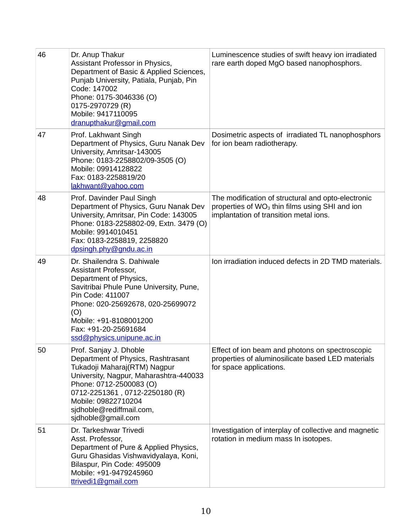| 46 | Dr. Anup Thakur<br>Assistant Professor in Physics,<br>Department of Basic & Applied Sciences,<br>Punjab University, Patiala, Punjab, Pin<br>Code: 147002<br>Phone: 0175-3046336 (O)<br>0175-2970729 (R)<br>Mobile: 9417110095<br>dranupthakur@gmail.com                      | Luminescence studies of swift heavy ion irradiated<br>rare earth doped MgO based nanophosphors.                                                            |
|----|------------------------------------------------------------------------------------------------------------------------------------------------------------------------------------------------------------------------------------------------------------------------------|------------------------------------------------------------------------------------------------------------------------------------------------------------|
| 47 | Prof. Lakhwant Singh<br>Department of Physics, Guru Nanak Dev<br>University, Amritsar-143005<br>Phone: 0183-2258802/09-3505 (O)<br>Mobile: 09914128822<br>Fax: 0183-2258819/20<br>lakhwant@yahoo.com                                                                         | Dosimetric aspects of irradiated TL nanophosphors<br>for ion beam radiotherapy.                                                                            |
| 48 | Prof. Davinder Paul Singh<br>Department of Physics, Guru Nanak Dev<br>University, Amritsar, Pin Code: 143005<br>Phone: 0183-2258802-09, Extn. 3479 (O)<br>Mobile: 9914010451<br>Fax: 0183-2258819, 2258820<br>dpsingh.phy@gndu.ac.in                                         | The modification of structural and opto-electronic<br>properties of WO <sub>3</sub> thin films using SHI and ion<br>implantation of transition metal ions. |
| 49 | Dr. Shailendra S. Dahiwale<br>Assistant Professor,<br>Department of Physics,<br>Savitribai Phule Pune University, Pune,<br>Pin Code: 411007<br>Phone: 020-25692678, 020-25699072<br>(O)<br>Mobile: +91-8108001200<br>Fax: +91-20-25691684<br>ssd@physics.unipune.ac.in       | Ion irradiation induced defects in 2D TMD materials.                                                                                                       |
| 50 | Prof. Sanjay J. Dhoble<br>Department of Physics, Rashtrasant<br>Tukadoji Maharaj(RTM) Nagpur<br>University, Nagpur, Maharashtra-440033<br>Phone: 0712-2500083 (O)<br>0712-2251361, 0712-2250180 (R)<br>Mobile: 09822710204<br>sidhoble@rediffmail.com,<br>sidhoble@gmail.com | Effect of ion beam and photons on spectroscopic<br>properties of aluminosilicate based LED materials<br>for space applications.                            |
| 51 | Dr. Tarkeshwar Trivedi<br>Asst. Professor,<br>Department of Pure & Applied Physics,<br>Guru Ghasidas Vishwavidyalaya, Koni,<br>Bilaspur, Pin Code: 495009<br>Mobile: +91-9479245960<br>ttrivedi1@gmail.com                                                                   | Investigation of interplay of collective and magnetic<br>rotation in medium mass In isotopes.                                                              |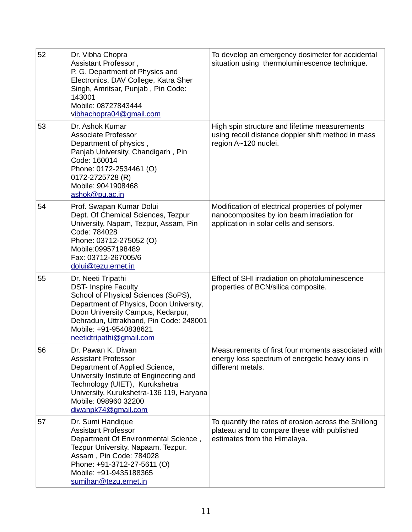| 52 | Dr. Vibha Chopra<br>Assistant Professor,<br>P. G. Department of Physics and<br>Electronics, DAV College, Katra Sher<br>Singh, Amritsar, Punjab, Pin Code:<br>143001<br>Mobile: 08727843444<br>vibhachopra04@gmail.com                                                    | To develop an emergency dosimeter for accidental<br>situation using thermoluminescence technique.                                         |
|----|--------------------------------------------------------------------------------------------------------------------------------------------------------------------------------------------------------------------------------------------------------------------------|-------------------------------------------------------------------------------------------------------------------------------------------|
| 53 | Dr. Ashok Kumar<br><b>Associate Professor</b><br>Department of physics,<br>Panjab University, Chandigarh, Pin<br>Code: 160014<br>Phone: 0172-2534461 (O)<br>0172-2725728 (R)<br>Mobile: 9041908468<br>ashok@pu.ac.in                                                     | High spin structure and lifetime measurements<br>using recoil distance doppler shift method in mass<br>region A~120 nuclei.               |
| 54 | Prof. Swapan Kumar Dolui<br>Dept. Of Chemical Sciences, Tezpur<br>University, Napam, Tezpur, Assam, Pin<br>Code: 784028<br>Phone: 03712-275052 (O)<br>Mobile:09957198489<br>Fax: 03712-267005/6<br>dolui@tezu.ernet.in                                                   | Modification of electrical properties of polymer<br>nanocomposites by ion beam irradiation for<br>application in solar cells and sensors. |
| 55 | Dr. Neeti Tripathi<br><b>DST- Inspire Faculty</b><br>School of Physical Sciences (SoPS),<br>Department of Physics, Doon University,<br>Doon University Campus, Kedarpur,<br>Dehradun, Uttrakhand, Pin Code: 248001<br>Mobile: +91-9540838621<br>neetidtripathi@gmail.com | Effect of SHI irradiation on photoluminescence<br>properties of BCN/silica composite.                                                     |
| 56 | Dr. Pawan K. Diwan<br><b>Assistant Professor</b><br>Department of Applied Science,<br>University Institute of Engineering and<br>Technology (UIET), Kurukshetra<br>University, Kurukshetra-136 119, Haryana<br>Mobile: 098960 32200<br>diwanpk74@gmail.com               | Measurements of first four moments associated with<br>energy loss spectrum of energetic heavy ions in<br>different metals.                |
| 57 | Dr. Sumi Handique<br><b>Assistant Professor</b><br>Department Of Environmental Science,<br>Tezpur University. Napaam. Tezpur.<br>Assam, Pin Code: 784028<br>Phone: +91-3712-27-5611 (O)<br>Mobile: +91-9435188365<br>sumihan@tezu.ernet.in                               | To quantify the rates of erosion across the Shillong<br>plateau and to compare these with published<br>estimates from the Himalaya.       |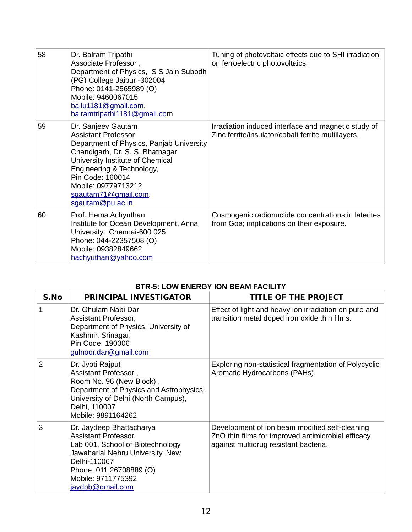| 58 | Dr. Balram Tripathi<br>Associate Professor,<br>Department of Physics, S S Jain Subodh<br>(PG) College Jaipur -302004<br>Phone: 0141-2565989 (O)<br>Mobile: 9460067015<br>ballu1181@gmail.com,<br>balramtripathi1181@gmail.com                                                           | Tuning of photovoltaic effects due to SHI irradiation<br>on ferroelectric photovoltaics.                  |
|----|-----------------------------------------------------------------------------------------------------------------------------------------------------------------------------------------------------------------------------------------------------------------------------------------|-----------------------------------------------------------------------------------------------------------|
| 59 | Dr. Sanjeev Gautam<br><b>Assistant Professor</b><br>Department of Physics, Panjab University<br>Chandigarh, Dr. S. S. Bhatnagar<br>University Institute of Chemical<br>Engineering & Technology,<br>Pin Code: 160014<br>Mobile: 09779713212<br>sgautam71@gmail.com,<br>sgautam@pu.ac.in | Irradiation induced interface and magnetic study of<br>Zinc ferrite/insulator/cobalt ferrite multilayers. |
| 60 | Prof. Hema Achyuthan<br>Institute for Ocean Development, Anna<br>University, Chennai-600 025<br>Phone: 044-22357508 (O)<br>Mobile: 09382849662<br>hachyuthan@yahoo.com                                                                                                                  | Cosmogenic radionuclide concentrations in laterites<br>from Goa; implications on their exposure.          |

## **BTR-5: LOW ENERGY ION BEAM FACILITY**

| S.No          | <b>PRINCIPAL INVESTIGATOR</b>                                                                                                                                                                                  | <b>TITLE OF THE PROJECT</b>                                                                                                                   |
|---------------|----------------------------------------------------------------------------------------------------------------------------------------------------------------------------------------------------------------|-----------------------------------------------------------------------------------------------------------------------------------------------|
| $\mathbf{1}$  | Dr. Ghulam Nabi Dar<br>Assistant Professor,<br>Department of Physics, University of<br>Kashmir, Srinagar,<br>Pin Code: 190006<br>gulnoor.dar@gmail.com                                                         | Effect of light and heavy ion irradiation on pure and<br>transition metal doped iron oxide thin films.                                        |
| $\mathcal{P}$ | Dr. Jyoti Rajput<br>Assistant Professor,<br>Room No. 96 (New Block),<br>Department of Physics and Astrophysics,<br>University of Delhi (North Campus),<br>Delhi, 110007<br>Mobile: 9891164262                  | Exploring non-statistical fragmentation of Polycyclic<br>Aromatic Hydrocarbons (PAHs).                                                        |
| 3             | Dr. Jaydeep Bhattacharya<br>Assistant Professor,<br>Lab 001, School of Biotechnology,<br>Jawaharlal Nehru University, New<br>Delhi-110067<br>Phone: 011 26708889 (O)<br>Mobile: 9711775392<br>jaydpb@gmail.com | Development of ion beam modified self-cleaning<br>ZnO thin films for improved antimicrobial efficacy<br>against multidrug resistant bacteria. |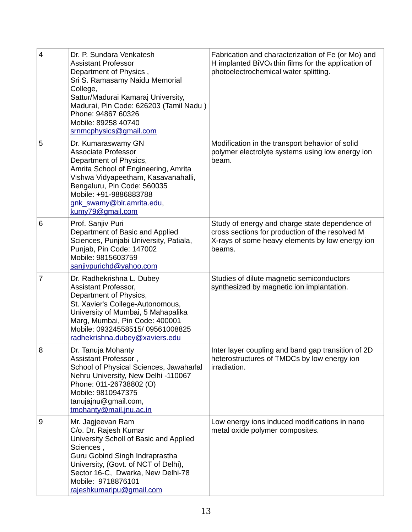| $\overline{4}$ | Dr. P. Sundara Venkatesh<br><b>Assistant Professor</b><br>Department of Physics,<br>Sri S. Ramasamy Naidu Memorial<br>College,<br>Sattur/Madurai Kamaraj University,<br>Madurai, Pin Code: 626203 (Tamil Nadu)<br>Phone: 94867 60326<br>Mobile: 89258 40740<br>srnmcphysics@gmail.com | Fabrication and characterization of Fe (or Mo) and<br>H implanted BiVO <sub>4</sub> thin films for the application of<br>photoelectrochemical water splitting. |
|----------------|---------------------------------------------------------------------------------------------------------------------------------------------------------------------------------------------------------------------------------------------------------------------------------------|----------------------------------------------------------------------------------------------------------------------------------------------------------------|
| 5              | Dr. Kumaraswamy GN<br><b>Associate Professor</b><br>Department of Physics,<br>Amrita School of Engineering, Amrita<br>Vishwa Vidyapeetham, Kasavanahalli,<br>Bengaluru, Pin Code: 560035<br>Mobile: +91-9886883788<br>gnk swamy@blr.amrita.edu,<br>kumy79@gmail.com                   | Modification in the transport behavior of solid<br>polymer electrolyte systems using low energy ion<br>beam.                                                   |
| 6              | Prof. Sanjiv Puri<br>Department of Basic and Applied<br>Sciences, Punjabi University, Patiala,<br>Punjab, Pin Code: 147002<br>Mobile: 9815603759<br>sanjivpurichd@yahoo.com                                                                                                           | Study of energy and charge state dependence of<br>cross sections for production of the resolved M<br>X-rays of some heavy elements by low energy ion<br>beams. |
| $\overline{7}$ | Dr. Radhekrishna L. Dubey<br>Assistant Professor,<br>Department of Physics,<br>St. Xavier's College-Autonomous,<br>University of Mumbai, 5 Mahapalika<br>Marg, Mumbai, Pin Code: 400001<br>Mobile: 09324558515/ 09561008825<br>radhekrishna.dubey@xaviers.edu                         | Studies of dilute magnetic semiconductors<br>synthesized by magnetic ion implantation.                                                                         |
| 8              | Dr. Tanuja Mohanty<br>Assistant Professor,<br>School of Physical Sciences, Jawaharlal<br>Nehru University, New Delhi -110067<br>Phone: 011-26738802 (O)<br>Mobile: 9810947375<br>tanujajnu@gmail.com,<br>$t$ mohanty@mail.jnu.ac.in                                                   | Inter layer coupling and band gap transition of 2D<br>heterostructures of TMDCs by low energy ion<br>irradiation.                                              |
| 9              | Mr. Jagjeevan Ram<br>C/o. Dr. Rajesh Kumar<br>University Scholl of Basic and Applied<br>Sciences,<br>Guru Gobind Singh Indraprastha<br>University, (Govt. of NCT of Delhi),<br>Sector 16-C, Dwarka, New Delhi-78<br>Mobile: 9718876101<br>rajeshkumaripu@gmail.com                    | Low energy ions induced modifications in nano<br>metal oxide polymer composites.                                                                               |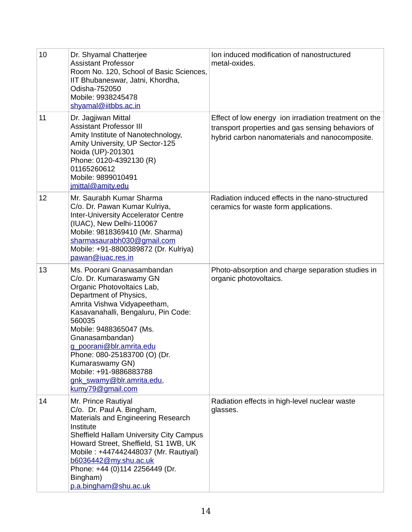| 10 | Dr. Shyamal Chatterjee<br><b>Assistant Professor</b><br>Room No. 120, School of Basic Sciences,<br>IIT Bhubaneswar, Jatni, Khordha,<br>Odisha-752050<br>Mobile: 9938245478<br>shyamal@iitbbs.ac.in                                                                                                                                                                                                    | Ion induced modification of nanostructured<br>metal-oxides.                                                                                                  |
|----|-------------------------------------------------------------------------------------------------------------------------------------------------------------------------------------------------------------------------------------------------------------------------------------------------------------------------------------------------------------------------------------------------------|--------------------------------------------------------------------------------------------------------------------------------------------------------------|
| 11 | Dr. Jagjiwan Mittal<br><b>Assistant Professor III</b><br>Amity Institute of Nanotechnology,<br>Amity University, UP Sector-125<br>Noida (UP)-201301<br>Phone: 0120-4392130 (R)<br>01165260612<br>Mobile: 9899010491<br>jmittal@amity.edu                                                                                                                                                              | Effect of low energy ion irradiation treatment on the<br>transport properties and gas sensing behaviors of<br>hybrid carbon nanomaterials and nanocomposite. |
| 12 | Mr. Saurabh Kumar Sharma<br>C/o. Dr. Pawan Kumar Kulriya,<br><b>Inter-University Accelerator Centre</b><br>(IUAC), New Delhi-110067<br>Mobile: 9818369410 (Mr. Sharma)<br>sharmasaurabh030@gmail.com<br>Mobile: +91-8800389872 (Dr. Kulriya)<br>pawan@iuac.res.in                                                                                                                                     | Radiation induced effects in the nano-structured<br>ceramics for waste form applications.                                                                    |
| 13 | Ms. Poorani Gnanasambandan<br>C/o. Dr. Kumaraswamy GN<br>Organic Photovoltaics Lab,<br>Department of Physics,<br>Amrita Vishwa Vidyapeetham,<br>Kasavanahalli, Bengaluru, Pin Code:<br>560035<br>Mobile: 9488365047 (Ms.<br>Gnanasambandan)<br>g poorani@blr.amrita.edu<br>Phone: 080-25183700 (O) (Dr.<br>Kumaraswamy GN)<br>Mobile: +91-9886883788<br>gnk swamy@blr.amrita.edu,<br>kumy79@gmail.com | Photo-absorption and charge separation studies in<br>organic photovoltaics.                                                                                  |
| 14 | Mr. Prince Rautiyal<br>C/o. Dr. Paul A. Bingham,<br>Materials and Engineering Research<br>Institute<br><b>Sheffield Hallam University City Campus</b><br>Howard Street, Sheffield, S1 1WB, UK<br>Mobile: +447442448037 (Mr. Rautiyal)<br>b6036442@my.shu.ac.uk<br>Phone: +44 (0)114 2256449 (Dr.<br>Bingham)<br>p.a.bingham@shu.ac.uk                                                                 | Radiation effects in high-level nuclear waste<br>glasses.                                                                                                    |